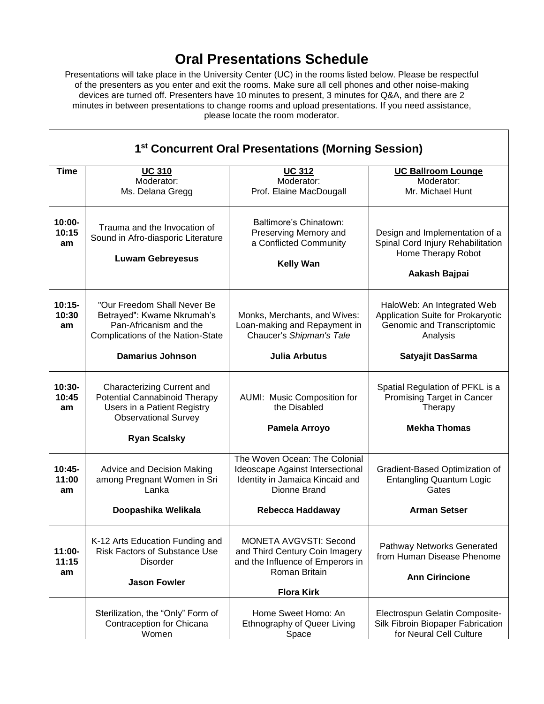## **Oral Presentations Schedule**

Presentations will take place in the University Center (UC) in the rooms listed below. Please be respectful of the presenters as you enter and exit the rooms. Make sure all cell phones and other noise-making devices are turned off. Presenters have 10 minutes to present, 3 minutes for Q&A, and there are 2 minutes in between presentations to change rooms and upload presentations. If you need assistance, please locate the room moderator.

| 1 <sup>st</sup> Concurrent Oral Presentations (Morning Session) |                                                                                                                                  |                                                                                                                                           |                                                                                                            |  |  |
|-----------------------------------------------------------------|----------------------------------------------------------------------------------------------------------------------------------|-------------------------------------------------------------------------------------------------------------------------------------------|------------------------------------------------------------------------------------------------------------|--|--|
| <b>Time</b>                                                     | <b>UC 310</b><br>Moderator:<br>Ms. Delana Gregg                                                                                  | <b>UC 312</b><br>Moderator:<br>Prof. Elaine MacDougall                                                                                    | <b>UC Ballroom Lounge</b><br>Moderator:<br>Mr. Michael Hunt                                                |  |  |
| $10:00 -$<br>10:15<br>am                                        | Trauma and the Invocation of<br>Sound in Afro-diasporic Literature<br><b>Luwam Gebreyesus</b>                                    | Baltimore's Chinatown:<br>Preserving Memory and<br>a Conflicted Community<br><b>Kelly Wan</b>                                             | Design and Implementation of a<br>Spinal Cord Injury Rehabilitation<br>Home Therapy Robot<br>Aakash Bajpai |  |  |
| $10:15-$<br>10:30<br>am                                         | "Our Freedom Shall Never Be<br>Betrayed": Kwame Nkrumah's<br>Pan-Africanism and the<br>Complications of the Nation-State         | Monks, Merchants, and Wives:<br>Loan-making and Repayment in<br>Chaucer's Shipman's Tale                                                  | HaloWeb: An Integrated Web<br>Application Suite for Prokaryotic<br>Genomic and Transcriptomic<br>Analysis  |  |  |
|                                                                 | <b>Damarius Johnson</b>                                                                                                          | <b>Julia Arbutus</b>                                                                                                                      | Satyajit DasSarma                                                                                          |  |  |
| $10:30-$<br>10:45<br>am                                         | <b>Characterizing Current and</b><br>Potential Cannabinoid Therapy<br>Users in a Patient Registry<br><b>Observational Survey</b> | AUMI: Music Composition for<br>the Disabled                                                                                               | Spatial Regulation of PFKL is a<br>Promising Target in Cancer<br>Therapy                                   |  |  |
|                                                                 | <b>Ryan Scalsky</b>                                                                                                              | Pamela Arroyo                                                                                                                             | <b>Mekha Thomas</b>                                                                                        |  |  |
| $10:45-$<br>11:00<br>am                                         | Advice and Decision Making<br>among Pregnant Women in Sri<br>Lanka                                                               | The Woven Ocean: The Colonial<br>Ideoscape Against Intersectional<br>Identity in Jamaica Kincaid and<br>Dionne Brand                      | Gradient-Based Optimization of<br><b>Entangling Quantum Logic</b><br>Gates                                 |  |  |
|                                                                 | Doopashika Welikala                                                                                                              | Rebecca Haddaway                                                                                                                          | <b>Arman Setser</b>                                                                                        |  |  |
| $11:00 -$<br>11:15<br>am                                        | K-12 Arts Education Funding and<br><b>Risk Factors of Substance Use</b><br><b>Disorder</b><br><b>Jason Fowler</b>                | <b>MONETA AVGVSTI: Second</b><br>and Third Century Coin Imagery<br>and the Influence of Emperors in<br>Roman Britain<br><b>Flora Kirk</b> | Pathway Networks Generated<br>from Human Disease Phenome<br><b>Ann Cirincione</b>                          |  |  |
|                                                                 | Sterilization, the "Only" Form of<br>Contraception for Chicana<br>Women                                                          | Home Sweet Homo: An<br><b>Ethnography of Queer Living</b><br>Space                                                                        | Electrospun Gelatin Composite-<br>Silk Fibroin Biopaper Fabrication<br>for Neural Cell Culture             |  |  |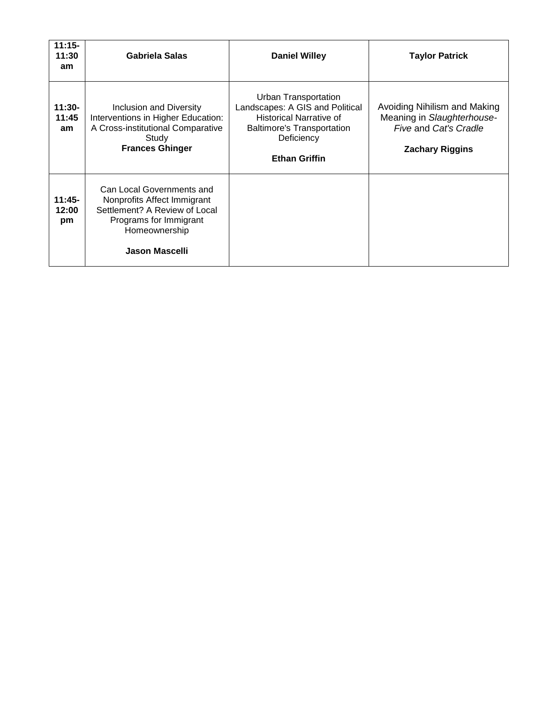| $11:15-$<br>11:30<br>am | <b>Gabriela Salas</b>                                                                                                                                         | <b>Daniel Willey</b>                                                                                                                                                 | <b>Taylor Patrick</b>                                                                                         |
|-------------------------|---------------------------------------------------------------------------------------------------------------------------------------------------------------|----------------------------------------------------------------------------------------------------------------------------------------------------------------------|---------------------------------------------------------------------------------------------------------------|
| $11:30-$<br>11:45<br>am | Inclusion and Diversity<br>Interventions in Higher Education:<br>A Cross-institutional Comparative<br>Study<br><b>Frances Ghinger</b>                         | Urban Transportation<br>Landscapes: A GIS and Political<br><b>Historical Narrative of</b><br><b>Baltimore's Transportation</b><br>Deficiency<br><b>Ethan Griffin</b> | Avoiding Nihilism and Making<br>Meaning in Slaughterhouse-<br>Five and Cat's Cradle<br><b>Zachary Riggins</b> |
| $11:45-$<br>12:00<br>pm | Can Local Governments and<br>Nonprofits Affect Immigrant<br>Settlement? A Review of Local<br>Programs for Immigrant<br>Homeownership<br><b>Jason Mascelli</b> |                                                                                                                                                                      |                                                                                                               |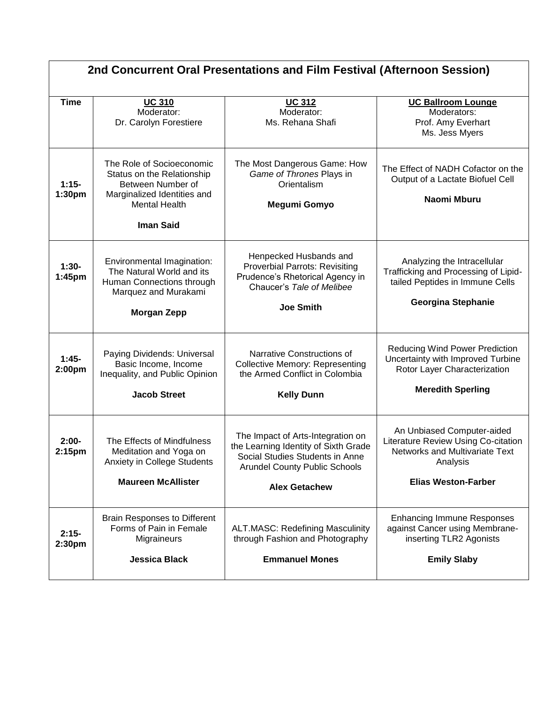| 2nd Concurrent Oral Presentations and Film Festival (Afternoon Session) |                                                                                                                                                         |                                                                                                                                                                              |                                                                                                                                                      |  |  |
|-------------------------------------------------------------------------|---------------------------------------------------------------------------------------------------------------------------------------------------------|------------------------------------------------------------------------------------------------------------------------------------------------------------------------------|------------------------------------------------------------------------------------------------------------------------------------------------------|--|--|
| <b>Time</b>                                                             | <b>UC 310</b><br>Moderator:<br>Dr. Carolyn Forestiere                                                                                                   | <b>UC 312</b><br>Moderator:<br>Ms. Rehana Shafi                                                                                                                              | <b>UC Ballroom Lounge</b><br>Moderators:<br>Prof. Amy Everhart<br>Ms. Jess Myers                                                                     |  |  |
| $1:15-$<br>1:30pm                                                       | The Role of Socioeconomic<br>Status on the Relationship<br>Between Number of<br>Marginalized Identities and<br><b>Mental Health</b><br><b>Iman Said</b> | The Most Dangerous Game: How<br>Game of Thrones Plays in<br>Orientalism<br>Megumi Gomyo                                                                                      | The Effect of NADH Cofactor on the<br>Output of a Lactate Biofuel Cell<br>Naomi Mburu                                                                |  |  |
| $1:30-$<br>1:45pm                                                       | Environmental Imagination:<br>The Natural World and its<br>Human Connections through<br>Marquez and Murakami<br><b>Morgan Zepp</b>                      | Henpecked Husbands and<br><b>Proverbial Parrots: Revisiting</b><br>Prudence's Rhetorical Agency in<br>Chaucer's Tale of Melibee<br><b>Joe Smith</b>                          | Analyzing the Intracellular<br>Trafficking and Processing of Lipid-<br>tailed Peptides in Immune Cells<br><b>Georgina Stephanie</b>                  |  |  |
| $1:45-$<br>2:00pm                                                       | Paying Dividends: Universal<br>Basic Income, Income<br>Inequality, and Public Opinion<br><b>Jacob Street</b>                                            | Narrative Constructions of<br><b>Collective Memory: Representing</b><br>the Armed Conflict in Colombia<br><b>Kelly Dunn</b>                                                  | <b>Reducing Wind Power Prediction</b><br>Uncertainty with Improved Turbine<br>Rotor Layer Characterization<br><b>Meredith Sperling</b>               |  |  |
| $2:00-$<br>2:15 <sub>pm</sub>                                           | The Effects of Mindfulness<br>Meditation and Yoga on<br><b>Anxiety in College Students</b><br><b>Maureen McAllister</b>                                 | The Impact of Arts-Integration on<br>the Learning Identity of Sixth Grade<br>Social Studies Students in Anne<br><b>Arundel County Public Schools</b><br><b>Alex Getachew</b> | An Unbiased Computer-aided<br>Literature Review Using Co-citation<br><b>Networks and Multivariate Text</b><br>Analysis<br><b>Elias Weston-Farber</b> |  |  |
| $2:15-$<br>2:30pm                                                       | <b>Brain Responses to Different</b><br>Forms of Pain in Female<br>Migraineurs<br><b>Jessica Black</b>                                                   | <b>ALT.MASC: Redefining Masculinity</b><br>through Fashion and Photography<br><b>Emmanuel Mones</b>                                                                          | <b>Enhancing Immune Responses</b><br>against Cancer using Membrane-<br>inserting TLR2 Agonists<br><b>Emily Slaby</b>                                 |  |  |